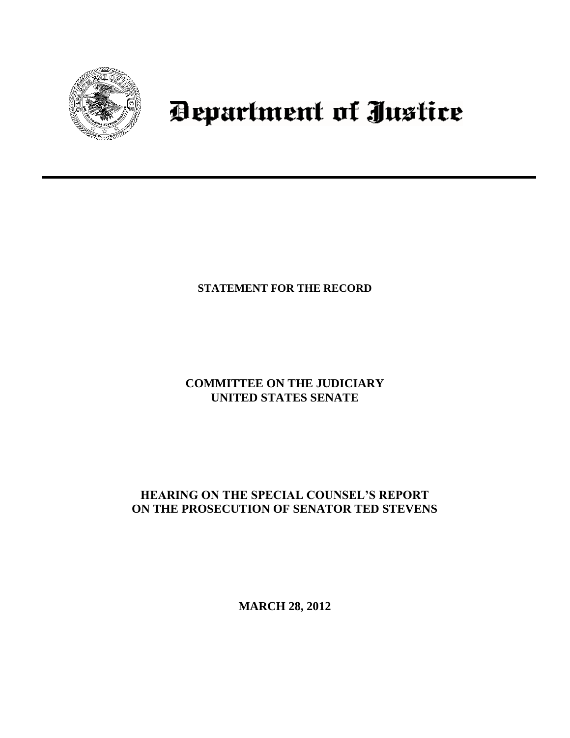

# Department of Justice

# **STATEMENT FOR THE RECORD**

# **COMMITTEE ON THE JUDICIARY UNITED STATES SENATE**

# **HEARING ON THE SPECIAL COUNSEL'S REPORT ON THE PROSECUTION OF SENATOR TED STEVENS**

**MARCH 28, 2012**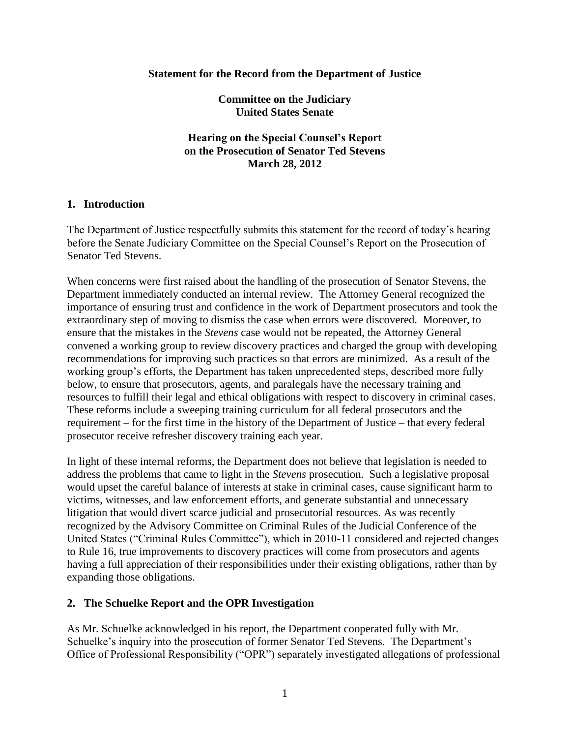#### **Statement for the Record from the Department of Justice**

**Committee on the Judiciary United States Senate**

**Hearing on the Special Counsel's Report on the Prosecution of Senator Ted Stevens March 28, 2012**

#### **1. Introduction**

The Department of Justice respectfully submits this statement for the record of today's hearing before the Senate Judiciary Committee on the Special Counsel's Report on the Prosecution of Senator Ted Stevens.

When concerns were first raised about the handling of the prosecution of Senator Stevens, the Department immediately conducted an internal review. The Attorney General recognized the importance of ensuring trust and confidence in the work of Department prosecutors and took the extraordinary step of moving to dismiss the case when errors were discovered. Moreover, to ensure that the mistakes in the *Stevens* case would not be repeated, the Attorney General convened a working group to review discovery practices and charged the group with developing recommendations for improving such practices so that errors are minimized. As a result of the working group's efforts, the Department has taken unprecedented steps, described more fully below, to ensure that prosecutors, agents, and paralegals have the necessary training and resources to fulfill their legal and ethical obligations with respect to discovery in criminal cases. These reforms include a sweeping training curriculum for all federal prosecutors and the requirement – for the first time in the history of the Department of Justice – that every federal prosecutor receive refresher discovery training each year.

In light of these internal reforms, the Department does not believe that legislation is needed to address the problems that came to light in the *Stevens* prosecution. Such a legislative proposal would upset the careful balance of interests at stake in criminal cases, cause significant harm to victims, witnesses, and law enforcement efforts, and generate substantial and unnecessary litigation that would divert scarce judicial and prosecutorial resources. As was recently recognized by the Advisory Committee on Criminal Rules of the Judicial Conference of the United States ("Criminal Rules Committee"), which in 2010-11 considered and rejected changes to Rule 16, true improvements to discovery practices will come from prosecutors and agents having a full appreciation of their responsibilities under their existing obligations, rather than by expanding those obligations.

## **2. The Schuelke Report and the OPR Investigation**

As Mr. Schuelke acknowledged in his report, the Department cooperated fully with Mr. Schuelke's inquiry into the prosecution of former Senator Ted Stevens. The Department's Office of Professional Responsibility ("OPR") separately investigated allegations of professional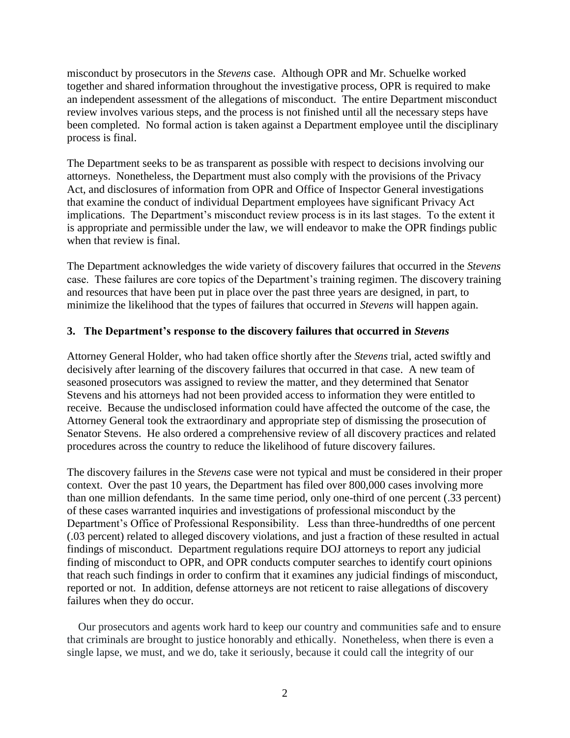misconduct by prosecutors in the *Stevens* case. Although OPR and Mr. Schuelke worked together and shared information throughout the investigative process, OPR is required to make an independent assessment of the allegations of misconduct. The entire Department misconduct review involves various steps, and the process is not finished until all the necessary steps have been completed. No formal action is taken against a Department employee until the disciplinary process is final.

The Department seeks to be as transparent as possible with respect to decisions involving our attorneys. Nonetheless, the Department must also comply with the provisions of the Privacy Act, and disclosures of information from OPR and Office of Inspector General investigations that examine the conduct of individual Department employees have significant Privacy Act implications. The Department's misconduct review process is in its last stages. To the extent it is appropriate and permissible under the law, we will endeavor to make the OPR findings public when that review is final.

The Department acknowledges the wide variety of discovery failures that occurred in the *Stevens* case. These failures are core topics of the Department's training regimen. The discovery training and resources that have been put in place over the past three years are designed, in part, to minimize the likelihood that the types of failures that occurred in *Stevens* will happen again.

### **3. The Department's response to the discovery failures that occurred in** *Stevens*

Attorney General Holder, who had taken office shortly after the *Stevens* trial, acted swiftly and decisively after learning of the discovery failures that occurred in that case. A new team of seasoned prosecutors was assigned to review the matter, and they determined that Senator Stevens and his attorneys had not been provided access to information they were entitled to receive. Because the undisclosed information could have affected the outcome of the case, the Attorney General took the extraordinary and appropriate step of dismissing the prosecution of Senator Stevens. He also ordered a comprehensive review of all discovery practices and related procedures across the country to reduce the likelihood of future discovery failures.

The discovery failures in the *Stevens* case were not typical and must be considered in their proper context. Over the past 10 years, the Department has filed over 800,000 cases involving more than one million defendants. In the same time period, only one-third of one percent (.33 percent) of these cases warranted inquiries and investigations of professional misconduct by the Department's Office of Professional Responsibility. Less than three-hundredths of one percent (.03 percent) related to alleged discovery violations, and just a fraction of these resulted in actual findings of misconduct. Department regulations require DOJ attorneys to report any judicial finding of misconduct to OPR, and OPR conducts computer searches to identify court opinions that reach such findings in order to confirm that it examines any judicial findings of misconduct, reported or not. In addition, defense attorneys are not reticent to raise allegations of discovery failures when they do occur.

Our prosecutors and agents work hard to keep our country and communities safe and to ensure that criminals are brought to justice honorably and ethically. Nonetheless, when there is even a single lapse, we must, and we do, take it seriously, because it could call the integrity of our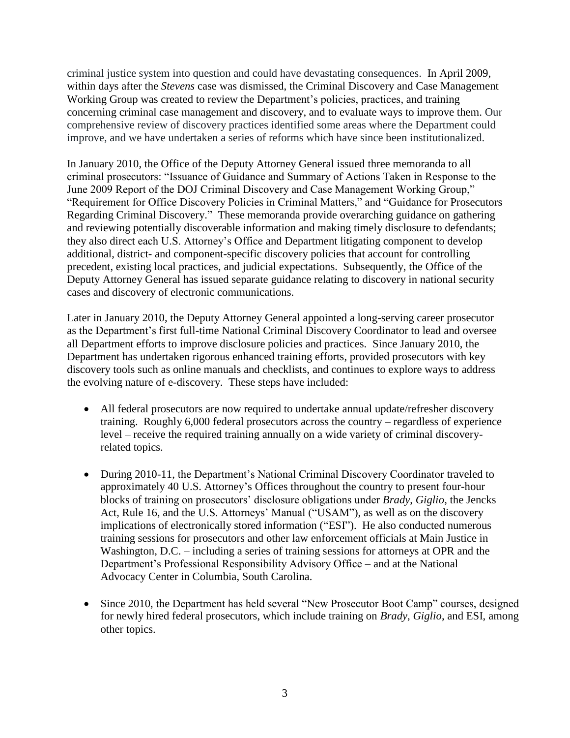criminal justice system into question and could have devastating consequences. In April 2009, within days after the *Stevens* case was dismissed, the Criminal Discovery and Case Management Working Group was created to review the Department's policies, practices, and training concerning criminal case management and discovery, and to evaluate ways to improve them. Our comprehensive review of discovery practices identified some areas where the Department could improve, and we have undertaken a series of reforms which have since been institutionalized.

In January 2010, the Office of the Deputy Attorney General issued three memoranda to all criminal prosecutors: "Issuance of Guidance and Summary of Actions Taken in Response to the June 2009 Report of the DOJ Criminal Discovery and Case Management Working Group," "Requirement for Office Discovery Policies in Criminal Matters," and "Guidance for Prosecutors Regarding Criminal Discovery." These memoranda provide overarching guidance on gathering and reviewing potentially discoverable information and making timely disclosure to defendants; they also direct each U.S. Attorney's Office and Department litigating component to develop additional, district- and component-specific discovery policies that account for controlling precedent, existing local practices, and judicial expectations. Subsequently, the Office of the Deputy Attorney General has issued separate guidance relating to discovery in national security cases and discovery of electronic communications.

Later in January 2010, the Deputy Attorney General appointed a long-serving career prosecutor as the Department's first full-time National Criminal Discovery Coordinator to lead and oversee all Department efforts to improve disclosure policies and practices. Since January 2010, the Department has undertaken rigorous enhanced training efforts, provided prosecutors with key discovery tools such as online manuals and checklists, and continues to explore ways to address the evolving nature of e-discovery. These steps have included:

- All federal prosecutors are now required to undertake annual update/refresher discovery training. Roughly 6,000 federal prosecutors across the country – regardless of experience level – receive the required training annually on a wide variety of criminal discoveryrelated topics.
- During 2010-11, the Department's National Criminal Discovery Coordinator traveled to approximately 40 U.S. Attorney's Offices throughout the country to present four-hour blocks of training on prosecutors' disclosure obligations under *Brady*, *Giglio*, the Jencks Act, Rule 16, and the U.S. Attorneys' Manual ("USAM"), as well as on the discovery implications of electronically stored information ("ESI"). He also conducted numerous training sessions for prosecutors and other law enforcement officials at Main Justice in Washington, D.C. – including a series of training sessions for attorneys at OPR and the Department's Professional Responsibility Advisory Office – and at the National Advocacy Center in Columbia, South Carolina.
- Since 2010, the Department has held several "New Prosecutor Boot Camp" courses, designed for newly hired federal prosecutors, which include training on *Brady*, *Giglio*, and ESI, among other topics.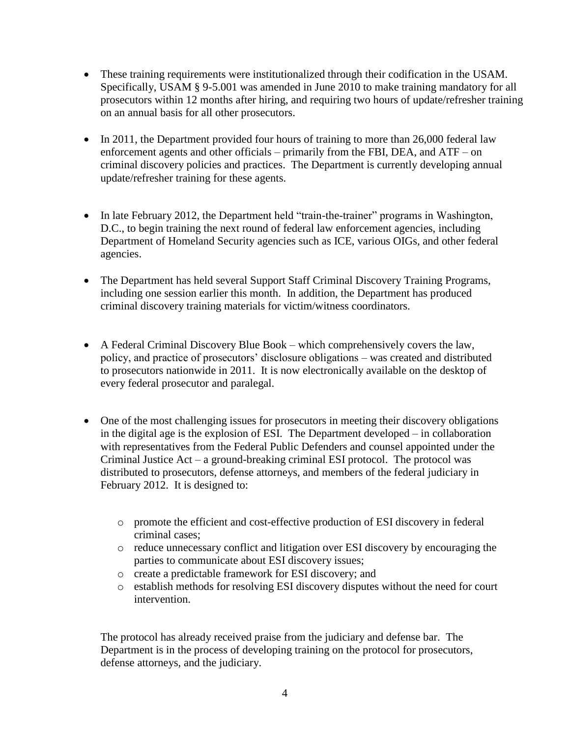- These training requirements were institutionalized through their codification in the USAM. Specifically, USAM § 9-5.001 was amended in June 2010 to make training mandatory for all prosecutors within 12 months after hiring, and requiring two hours of update/refresher training on an annual basis for all other prosecutors.
- $\bullet$  In 2011, the Department provided four hours of training to more than 26,000 federal law enforcement agents and other officials – primarily from the FBI, DEA, and ATF – on criminal discovery policies and practices. The Department is currently developing annual update/refresher training for these agents.
- In late February 2012, the Department held "train-the-trainer" programs in Washington, D.C., to begin training the next round of federal law enforcement agencies, including Department of Homeland Security agencies such as ICE, various OIGs, and other federal agencies.
- The Department has held several Support Staff Criminal Discovery Training Programs, including one session earlier this month. In addition, the Department has produced criminal discovery training materials for victim/witness coordinators.
- A Federal Criminal Discovery Blue Book which comprehensively covers the law, policy, and practice of prosecutors' disclosure obligations – was created and distributed to prosecutors nationwide in 2011. It is now electronically available on the desktop of every federal prosecutor and paralegal.
- One of the most challenging issues for prosecutors in meeting their discovery obligations in the digital age is the explosion of ESI. The Department developed – in collaboration with representatives from the Federal Public Defenders and counsel appointed under the Criminal Justice Act – a ground-breaking criminal ESI protocol. The protocol was distributed to prosecutors, defense attorneys, and members of the federal judiciary in February 2012. It is designed to:
	- o promote the efficient and cost-effective production of ESI discovery in federal criminal cases;
	- o reduce unnecessary conflict and litigation over ESI discovery by encouraging the parties to communicate about ESI discovery issues;
	- o create a predictable framework for ESI discovery; and
	- o establish methods for resolving ESI discovery disputes without the need for court intervention.

The protocol has already received praise from the judiciary and defense bar. The Department is in the process of developing training on the protocol for prosecutors, defense attorneys, and the judiciary.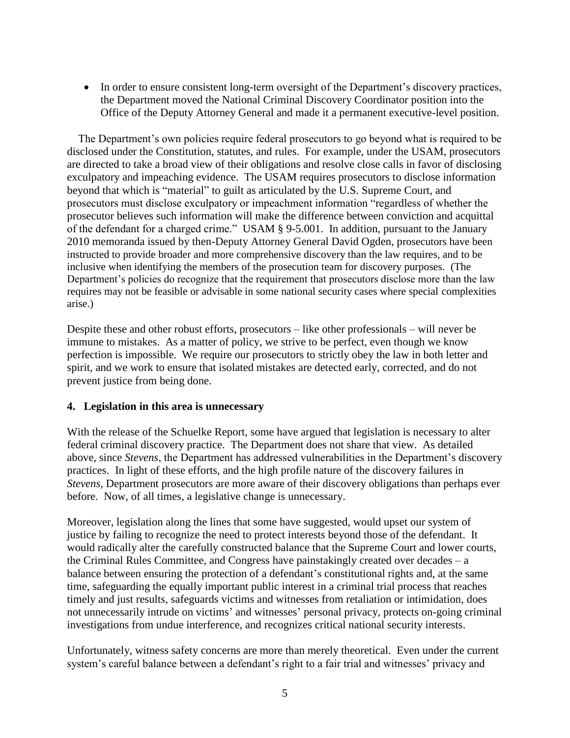• In order to ensure consistent long-term oversight of the Department's discovery practices, the Department moved the National Criminal Discovery Coordinator position into the Office of the Deputy Attorney General and made it a permanent executive-level position.

The Department's own policies require federal prosecutors to go beyond what is required to be disclosed under the Constitution, statutes, and rules. For example, under the USAM, prosecutors are directed to take a broad view of their obligations and resolve close calls in favor of disclosing exculpatory and impeaching evidence. The USAM requires prosecutors to disclose information beyond that which is "material" to guilt as articulated by the U.S. Supreme Court, and prosecutors must disclose exculpatory or impeachment information "regardless of whether the prosecutor believes such information will make the difference between conviction and acquittal of the defendant for a charged crime." USAM § 9-5.001. In addition, pursuant to the January 2010 memoranda issued by then-Deputy Attorney General David Ogden, prosecutors have been instructed to provide broader and more comprehensive discovery than the law requires, and to be inclusive when identifying the members of the prosecution team for discovery purposes. (The Department's policies do recognize that the requirement that prosecutors disclose more than the law requires may not be feasible or advisable in some national security cases where special complexities arise.)

Despite these and other robust efforts, prosecutors – like other professionals – will never be immune to mistakes. As a matter of policy, we strive to be perfect, even though we know perfection is impossible. We require our prosecutors to strictly obey the law in both letter and spirit, and we work to ensure that isolated mistakes are detected early, corrected, and do not prevent justice from being done.

## **4. Legislation in this area is unnecessary**

With the release of the Schuelke Report, some have argued that legislation is necessary to alter federal criminal discovery practice. The Department does not share that view. As detailed above, since *Stevens*, the Department has addressed vulnerabilities in the Department's discovery practices. In light of these efforts, and the high profile nature of the discovery failures in *Stevens*, Department prosecutors are more aware of their discovery obligations than perhaps ever before. Now, of all times, a legislative change is unnecessary.

Moreover, legislation along the lines that some have suggested, would upset our system of justice by failing to recognize the need to protect interests beyond those of the defendant. It would radically alter the carefully constructed balance that the Supreme Court and lower courts, the Criminal Rules Committee, and Congress have painstakingly created over decades – a balance between ensuring the protection of a defendant's constitutional rights and, at the same time, safeguarding the equally important public interest in a criminal trial process that reaches timely and just results, safeguards victims and witnesses from retaliation or intimidation, does not unnecessarily intrude on victims' and witnesses' personal privacy, protects on-going criminal investigations from undue interference, and recognizes critical national security interests.

Unfortunately, witness safety concerns are more than merely theoretical. Even under the current system's careful balance between a defendant's right to a fair trial and witnesses' privacy and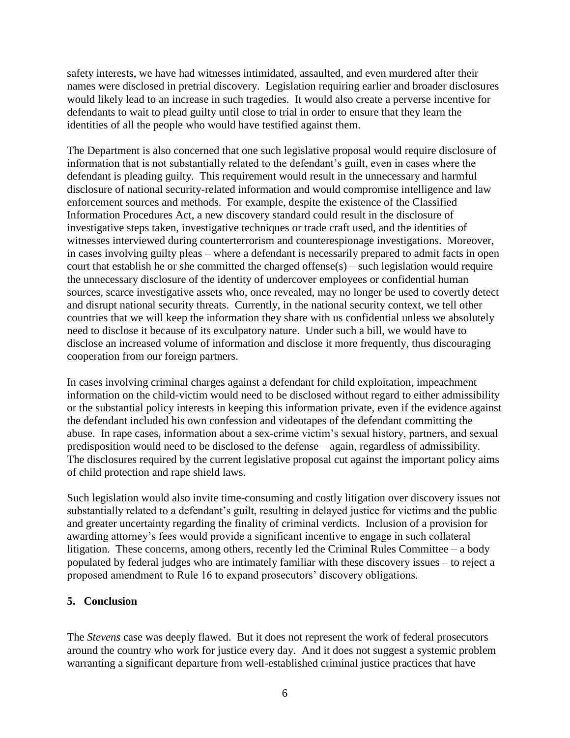safety interests, we have had witnesses intimidated, assaulted, and even murdered after their names were disclosed in pretrial discovery. Legislation requiring earlier and broader disclosures would likely lead to an increase in such tragedies. It would also create a perverse incentive for defendants to wait to plead guilty until close to trial in order to ensure that they learn the identities of all the people who would have testified against them.

The Department is also concerned that one such legislative proposal would require disclosure of information that is not substantially related to the defendant's guilt, even in cases where the defendant is pleading guilty. This requirement would result in the unnecessary and harmful disclosure of national security-related information and would compromise intelligence and law enforcement sources and methods. For example, despite the existence of the Classified Information Procedures Act, a new discovery standard could result in the disclosure of investigative steps taken, investigative techniques or trade craft used, and the identities of witnesses interviewed during counterterrorism and counterespionage investigations. Moreover, in cases involving guilty pleas – where a defendant is necessarily prepared to admit facts in open court that establish he or she committed the charged offense(s) – such legislation would require the unnecessary disclosure of the identity of undercover employees or confidential human sources, scarce investigative assets who, once revealed, may no longer be used to covertly detect and disrupt national security threats. Currently, in the national security context, we tell other countries that we will keep the information they share with us confidential unless we absolutely need to disclose it because of its exculpatory nature. Under such a bill, we would have to disclose an increased volume of information and disclose it more frequently, thus discouraging cooperation from our foreign partners.

In cases involving criminal charges against a defendant for child exploitation, impeachment information on the child-victim would need to be disclosed without regard to either admissibility or the substantial policy interests in keeping this information private, even if the evidence against the defendant included his own confession and videotapes of the defendant committing the abuse. In rape cases, information about a sex-crime victim's sexual history, partners, and sexual predisposition would need to be disclosed to the defense – again, regardless of admissibility. The disclosures required by the current legislative proposal cut against the important policy aims of child protection and rape shield laws.

Such legislation would also invite time-consuming and costly litigation over discovery issues not substantially related to a defendant's guilt, resulting in delayed justice for victims and the public and greater uncertainty regarding the finality of criminal verdicts. Inclusion of a provision for awarding attorney's fees would provide a significant incentive to engage in such collateral litigation. These concerns, among others, recently led the Criminal Rules Committee – a body populated by federal judges who are intimately familiar with these discovery issues – to reject a proposed amendment to Rule 16 to expand prosecutors' discovery obligations.

## **5. Conclusion**

The *Stevens* case was deeply flawed. But it does not represent the work of federal prosecutors around the country who work for justice every day. And it does not suggest a systemic problem warranting a significant departure from well-established criminal justice practices that have